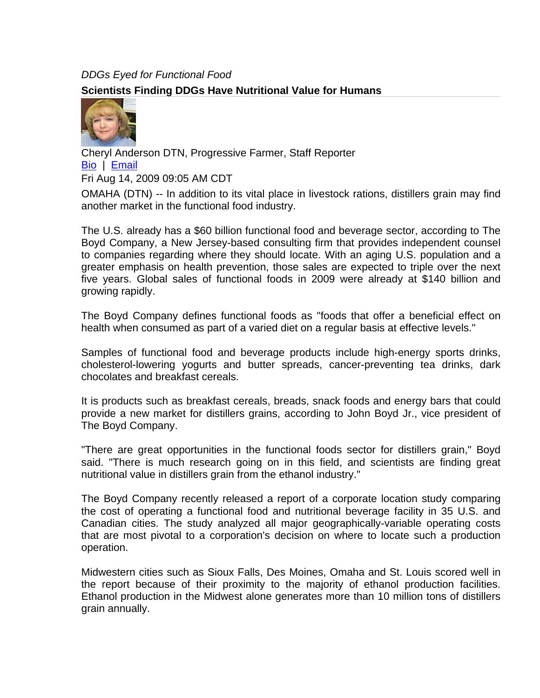## *DDGs Eyed for Functional Food*  **Scientists Finding DDGs Have Nutritional Value for Humans**



Cheryl Anderson DTN, Progressive Farmer, Staff Reporter Bio | Email Fri Aug 14, 2009 09:05 AM CDT

OMAHA (DTN) -- In addition to its vital place in livestock rations, distillers grain may find another market in the functional food industry.

The U.S. already has a \$60 billion functional food and beverage sector, according to The Boyd Company, a New Jersey-based consulting firm that provides independent counsel to companies regarding where they should locate. With an aging U.S. population and a greater emphasis on health prevention, those sales are expected to triple over the next five years. Global sales of functional foods in 2009 were already at \$140 billion and growing rapidly.

The Boyd Company defines functional foods as "foods that offer a beneficial effect on health when consumed as part of a varied diet on a regular basis at effective levels."

Samples of functional food and beverage products include high-energy sports drinks, cholesterol-lowering yogurts and butter spreads, cancer-preventing tea drinks, dark chocolates and breakfast cereals.

It is products such as breakfast cereals, breads, snack foods and energy bars that could provide a new market for distillers grains, according to John Boyd Jr., vice president of The Boyd Company.

"There are great opportunities in the functional foods sector for distillers grain," Boyd said. "There is much research going on in this field, and scientists are finding great nutritional value in distillers grain from the ethanol industry."

The Boyd Company recently released a report of a corporate location study comparing the cost of operating a functional food and nutritional beverage facility in 35 U.S. and Canadian cities. The study analyzed all major geographically-variable operating costs that are most pivotal to a corporation's decision on where to locate such a production operation.

Midwestern cities such as Sioux Falls, Des Moines, Omaha and St. Louis scored well in the report because of their proximity to the majority of ethanol production facilities. Ethanol production in the Midwest alone generates more than 10 million tons of distillers grain annually.